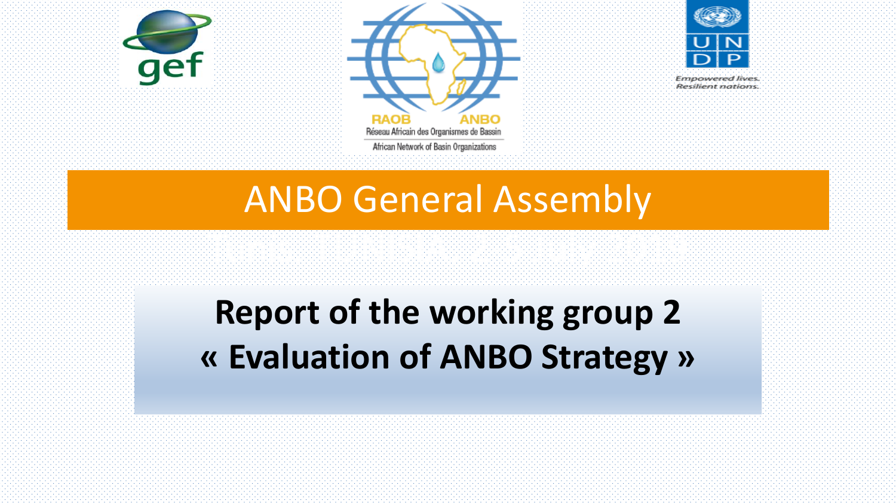



**Empowered lives** 

Resilient nations

### ANBO General Assembly

Tunis, Tunis, Tunis, Tunis, Tunis, Tunis, Tunis, Tunis, Tunis, Tunis, Tunis, Tunis, Tunis, Tunis, Tunis, Tunis,<br>Tunis, Tunis, Tunis, Tunis, Tunis, Tunis, Tunis, Tunis, Tunis, Tunis, Tunis, Tunis, Tunis, Tunis, Tunis, Tunis

## **Report of the working group 2 « Evaluation of ANBO Strategy »**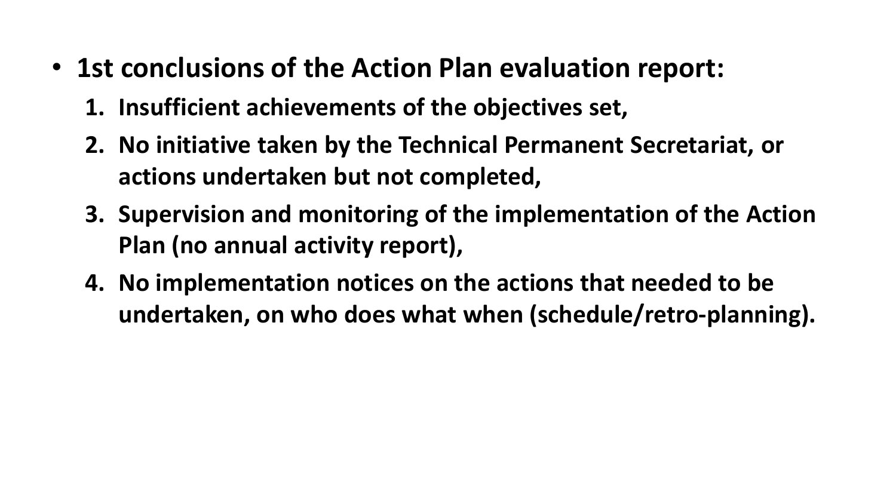- 1st conclusions of the Action Plan evaluation report:
	- **1. Insufficient achievements of the objectives set,**
	- **2. No initiative taken by the Technical Permanent Secretariat, or actions undertaken but not completed,**
	- **3. Supervision and monitoring of the implementation of the Action Plan (no annual activity report),**
	- **4. No implementation notices on the actions that needed to be undertaken, on who does what when (schedule/retro-planning).**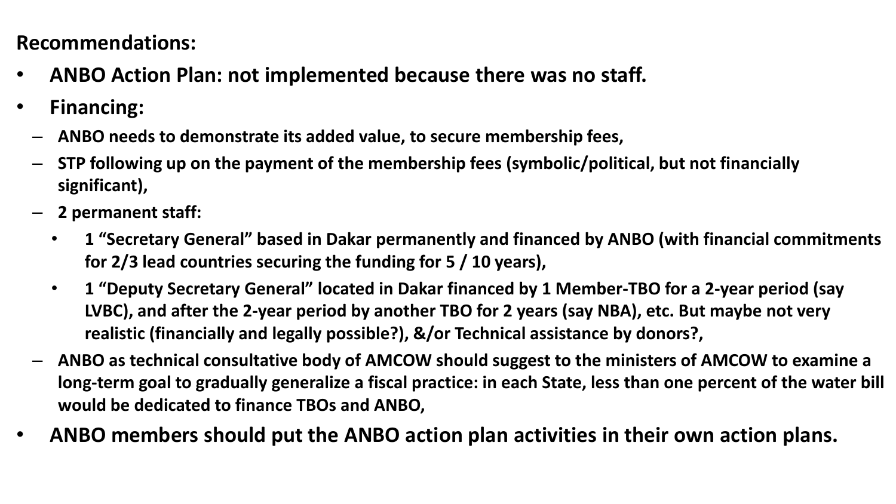# $\mathbf{A} \cdot \mathbf{B}$

- Recommendations:<br>A : ANPO Action Plan: pot implemented because there was no • **ANBO Action Plan: not implemented because there was no staff.**
- **Financing:** 
	- **ANBO needs to demonstrate its added value, to secure membership fees,**
	- **STP following up on the payment of the membership fees (symbolic/political, but not financially significant),**
	- **2 permanent staff:**
		- **1 "Secretary General" based in Dakar permanently and financed by ANBO (with financial commitments for 2/3 lead countries securing the funding for 5 / 10 years),**
		- **1 "Deputy Secretary General" located in Dakar financed by 1 Member-TBO for a 2-year period (say LVBC), and after the 2-year period by another TBO for 2 years (say NBA), etc. But maybe not very realistic (financially and legally possible?), &/or Technical assistance by donors?,**
	- **ANBO as technical consultative body of AMCOW should suggest to the ministers of AMCOW to examine a long-term goal to gradually generalize a fiscal practice: in each State, less than one percent of the water bill would be dedicated to finance TBOs and ANBO,**
- **ANBO members should put the ANBO action plan activities in their own action plans.**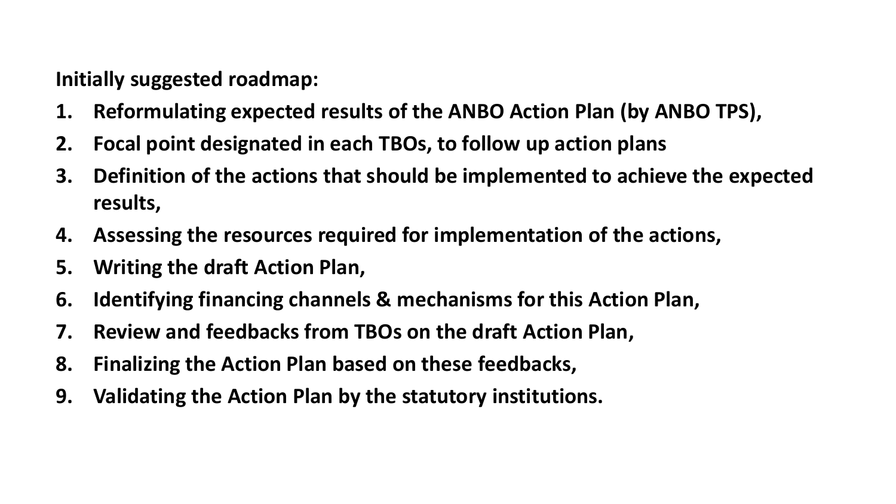$\mathcal{L}(\mathcal{M})$  : Action plan evaluation report for  $\mathcal{L}(\mathcal{M})$ **Initially suggested roadmap:**

- **1. Reformulating expected results of the ANBO Action Plan (by ANBO TPS),**
- **2. Focal point designated in each TBOs, to follow up action plans**
- **3. Definition of the actions that should be implemented to achieve the expected results,**
- **4. Assessing the resources required for implementation of the actions,**
- **5. Writing the draft Action Plan,**
- **6. Identifying financing channels & mechanisms for this Action Plan,**
- **7. Review and feedbacks from TBOs on the draft Action Plan,**
- **8. Finalizing the Action Plan based on these feedbacks,**
- **9. Validating the Action Plan by the statutory institutions.**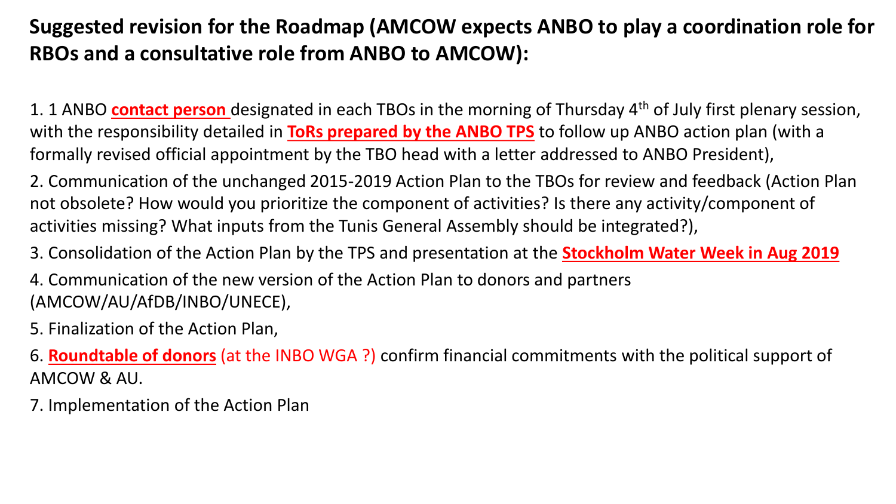### Suggested revision for the Roadmap (AMCOW expects ANBO to play a coordination role for RBOs and a consultative role from ANBO to AMCOW):

1. 1 ANBO **contact person** designated in each TBOs in the morning of Thursday 4th of July first plenary session, with the responsibility detailed in **ToRs prepared by the ANBO TPS** to follow up ANBO action plan (with a formally revised official appointment by the TBO head with a letter addressed to ANBO President),

2. Communication of the unchanged 2015-2019 Action Plan to the TBOs for review and feedback (Action Plan not obsolete? How would you prioritize the component of activities? Is there any activity/component of activities missing? What inputs from the Tunis General Assembly should be integrated?),

3. Consolidation of the Action Plan by the TPS and presentation at the **Stockholm Water Week in Aug 2019**

4. Communication of the new version of the Action Plan to donors and partners (AMCOW/AU/AfDB/INBO/UNECE),

5. Finalization of the Action Plan,

6. **Roundtable of donors** (at the INBO WGA ?) confirm financial commitments with the political support of AMCOW & AU.

7. Implementation of the Action Plan